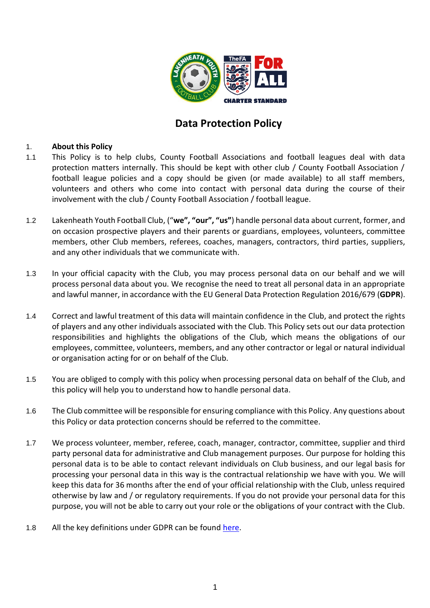

# **Data Protection Policy**

# 1. **About this Policy**

- 1.1 This Policy is to help clubs, County Football Associations and football leagues deal with data protection matters internally. This should be kept with other club / County Football Association / football league policies and a copy should be given (or made available) to all staff members, volunteers and others who come into contact with personal data during the course of their involvement with the club / County Football Association / football league.
- 1.2 Lakenheath Youth Football Club, ("**we", "our", "us"**) handle personal data about current, former, and on occasion prospective players and their parents or guardians, employees, volunteers, committee members, other Club members, referees, coaches, managers, contractors, third parties, suppliers, and any other individuals that we communicate with.
- 1.3 In your official capacity with the Club, you may process personal data on our behalf and we will process personal data about you. We recognise the need to treat all personal data in an appropriate and lawful manner, in accordance with the EU General Data Protection Regulation 2016/679 (**GDPR**).
- 1.4 Correct and lawful treatment of this data will maintain confidence in the Club, and protect the rights of players and any other individuals associated with the Club. This Policy sets out our data protection responsibilities and highlights the obligations of the Club, which means the obligations of our employees, committee, volunteers, members, and any other contractor or legal or natural individual or organisation acting for or on behalf of the Club.
- 1.5 You are obliged to comply with this policy when processing personal data on behalf of the Club, and this policy will help you to understand how to handle personal data.
- 1.6 The Club committee will be responsible for ensuring compliance with this Policy. Any questions about this Policy or data protection concerns should be referred to the committee.
- 1.7 We process volunteer, member, referee, coach, manager, contractor, committee, supplier and third party personal data for administrative and Club management purposes. Our purpose for holding this personal data is to be able to contact relevant individuals on Club business, and our legal basis for processing your personal data in this way is the contractual relationship we have with you. We will keep this data for 36 months after the end of your official relationship with the Club, unless required otherwise by law and / or regulatory requirements. If you do not provide your personal data for this purpose, you will not be able to carry out your role or the obligations of your contract with the Club.
- 1.8 All the key definitions under GDPR can be found [here.](https://ico.org.uk/for-organisations/guide-to-the-general-data-protection-regulation-gdpr/key-definitions/)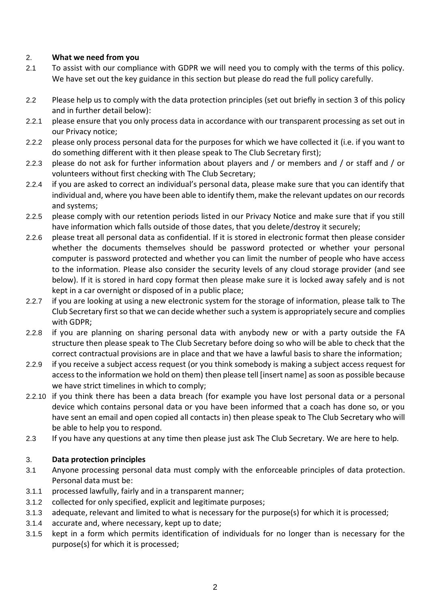# 2. **What we need from you**

- 2.1 To assist with our compliance with GDPR we will need you to comply with the terms of this policy. We have set out the key guidance in this section but please do read the full policy carefully.
- 2.2 Please help us to comply with the data protection principles (set out briefly in section [3](#page-1-0) of this policy and in further detail below):
- 2.2.1 please ensure that you only process data in accordance with our transparent processing as set out in our Privacy notice;
- 2.2.2 please only process personal data for the purposes for which we have collected it (i.e. if you want to do something different with it then please speak to The Club Secretary first);
- 2.2.3 please do not ask for further information about players and / or members and / or staff and / or volunteers without first checking with The Club Secretary;
- 2.2.4 if you are asked to correct an individual's personal data, please make sure that you can identify that individual and, where you have been able to identify them, make the relevant updates on our records and systems;
- 2.2.5 please comply with our retention periods listed in our Privacy Notice and make sure that if you still have information which falls outside of those dates, that you delete/destroy it securely;
- 2.2.6 please treat all personal data as confidential. If it is stored in electronic format then please consider whether the documents themselves should be password protected or whether your personal computer is password protected and whether you can limit the number of people who have access to the information. Please also consider the security levels of any cloud storage provider (and see below). If it is stored in hard copy format then please make sure it is locked away safely and is not kept in a car overnight or disposed of in a public place;
- 2.2.7 if you are looking at using a new electronic system for the storage of information, please talk to The Club Secretary first so that we can decide whether such a system is appropriately secure and complies with GDPR;
- 2.2.8 if you are planning on sharing personal data with anybody new or with a party outside the FA structure then please speak to The Club Secretary before doing so who will be able to check that the correct contractual provisions are in place and that we have a lawful basis to share the information;
- 2.2.9 if you receive a subject access request (or you think somebody is making a subject access request for access to the information we hold on them) then please tell [insert name] as soon as possible because we have strict timelines in which to comply;
- 2.2.10 if you think there has been a data breach (for example you have lost personal data or a personal device which contains personal data or you have been informed that a coach has done so, or you have sent an email and open copied all contacts in) then please speak to The Club Secretary who will be able to help you to respond.
- 2.3 If you have any questions at any time then please just ask The Club Secretary. We are here to help.

# <span id="page-1-0"></span>3. **Data protection principles**

- 3.1 Anyone processing personal data must comply with the enforceable principles of data protection. Personal data must be:
- 3.1.1 processed lawfully, fairly and in a transparent manner;
- 3.1.2 collected for only specified, explicit and legitimate purposes;
- 3.1.3 adequate, relevant and limited to what is necessary for the purpose(s) for which it is processed;
- 3.1.4 accurate and, where necessary, kept up to date;
- 3.1.5 kept in a form which permits identification of individuals for no longer than is necessary for the purpose(s) for which it is processed;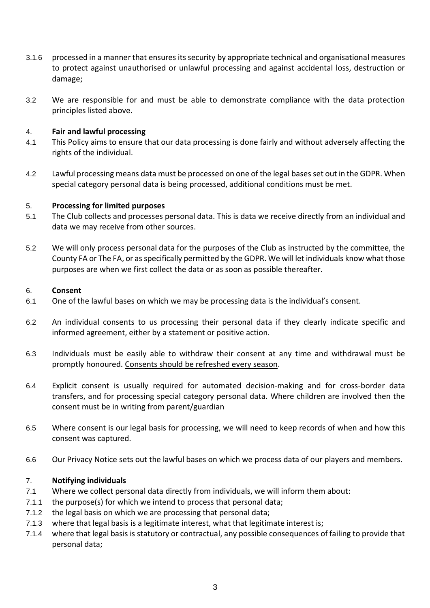- 3.1.6 processed in a manner that ensures its security by appropriate technical and organisational measures to protect against unauthorised or unlawful processing and against accidental loss, destruction or damage;
- 3.2 We are responsible for and must be able to demonstrate compliance with the data protection principles listed above.

# 4. **Fair and lawful processing**

- 4.1 This Policy aims to ensure that our data processing is done fairly and without adversely affecting the rights of the individual.
- 4.2 Lawful processing means data must be processed on one of the legal basesset out in the GDPR. When special category personal data is being processed, additional conditions must be met.

#### 5. **Processing for limited purposes**

- 5.1 The Club collects and processes personal data. This is data we receive directly from an individual and data we may receive from other sources.
- 5.2 We will only process personal data for the purposes of the Club as instructed by the committee, the County FA or The FA, or as specifically permitted by the GDPR. We will let individuals know what those purposes are when we first collect the data or as soon as possible thereafter.

#### 6. **Consent**

- 6.1 One of the lawful bases on which we may be processing data is the individual's consent.
- 6.2 An individual consents to us processing their personal data if they clearly indicate specific and informed agreement, either by a statement or positive action.
- 6.3 Individuals must be easily able to withdraw their consent at any time and withdrawal must be promptly honoured. Consents should be refreshed every season.
- 6.4 Explicit consent is usually required for automated decision-making and for cross-border data transfers, and for processing special category personal data. Where children are involved then the consent must be in writing from parent/guardian
- 6.5 Where consent is our legal basis for processing, we will need to keep records of when and how this consent was captured.
- 6.6 Our Privacy Notice sets out the lawful bases on which we process data of our players and members.

#### 7. **Notifying individuals**

- 7.1 Where we collect personal data directly from individuals, we will inform them about:
- 7.1.1 the purpose(s) for which we intend to process that personal data;
- 7.1.2 the legal basis on which we are processing that personal data;
- 7.1.3 where that legal basis is a legitimate interest, what that legitimate interest is;
- 7.1.4 where that legal basis is statutory or contractual, any possible consequences of failing to provide that personal data;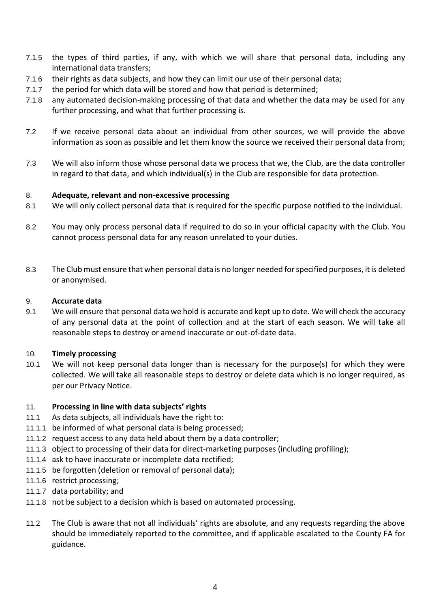- 7.1.5 the types of third parties, if any, with which we will share that personal data, including any international data transfers;
- 7.1.6 their rights as data subjects, and how they can limit our use of their personal data;
- 7.1.7 the period for which data will be stored and how that period is determined;
- 7.1.8 any automated decision-making processing of that data and whether the data may be used for any further processing, and what that further processing is.
- 7.2 If we receive personal data about an individual from other sources, we will provide the above information as soon as possible and let them know the source we received their personal data from;
- 7.3 We will also inform those whose personal data we process that we, the Club, are the data controller in regard to that data, and which individual(s) in the Club are responsible for data protection.

#### 8. **Adequate, relevant and non-excessive processing**

- 8.1 We will only collect personal data that is required for the specific purpose notified to the individual.
- 8.2 You may only process personal data if required to do so in your official capacity with the Club. You cannot process personal data for any reason unrelated to your duties.
- 8.3 The Clubmust ensure that when personal data is no longer needed for specified purposes, it is deleted or anonymised.

#### 9. **Accurate data**

9.1 We will ensure that personal data we hold is accurate and kept up to date. We will check the accuracy of any personal data at the point of collection and at the start of each season. We will take all reasonable steps to destroy or amend inaccurate or out-of-date data.

#### 10. **Timely processing**

10.1 We will not keep personal data longer than is necessary for the purpose(s) for which they were collected. We will take all reasonable steps to destroy or delete data which is no longer required, as per our Privacy Notice.

#### 11. **Processing in line with data subjects' rights**

- 11.1 As data subjects, all individuals have the right to:
- 11.1.1 be informed of what personal data is being processed;
- 11.1.2 request access to any data held about them by a data controller;
- 11.1.3 object to processing of their data for direct-marketing purposes (including profiling);
- 11.1.4 ask to have inaccurate or incomplete data rectified;
- 11.1.5 be forgotten (deletion or removal of personal data);
- 11.1.6 restrict processing;
- 11.1.7 data portability; and
- 11.1.8 not be subject to a decision which is based on automated processing.
- 11.2 The Club is aware that not all individuals' rights are absolute, and any requests regarding the above should be immediately reported to the committee, and if applicable escalated to the County FA for guidance.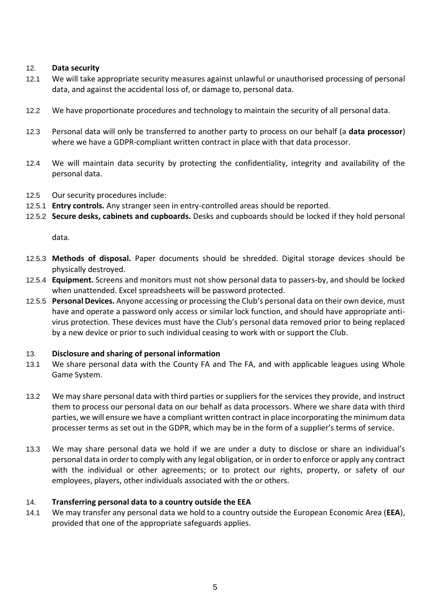#### 12. **Data security**

- 12.1 We will take appropriate security measures against unlawful or unauthorised processing of personal data, and against the accidental loss of, or damage to, personal data.
- 12.2 We have proportionate procedures and technology to maintain the security of all personal data.
- 12.3 Personal data will only be transferred to another party to process on our behalf (a **data processor**) where we have a GDPR-compliant written contract in place with that data processor.
- 12.4 We will maintain data security by protecting the confidentiality, integrity and availability of the personal data.
- 12.5 Our security procedures include:
- 12.5.1 **Entry controls.** Any stranger seen in entry-controlled areas should be reported.
- 12.5.2 **Secure desks, cabinets and cupboards.** Desks and cupboards should be locked if they hold personal

data.

- 12.5.3 **Methods of disposal.** Paper documents should be shredded. Digital storage devices should be physically destroyed.
- 12.5.4 **Equipment.** Screens and monitors must not show personal data to passers-by, and should be locked when unattended. Excel spreadsheets will be password protected.
- 12.5.5 **Personal Devices.** Anyone accessing or processing the Club's personal data on their own device, must have and operate a password only access or similar lock function, and should have appropriate antivirus protection. These devices must have the Club's personal data removed prior to being replaced by a new device or prior to such individual ceasing to work with or support the Club.

#### 13. **Disclosure and sharing of personal information**

- 13.1 We share personal data with the County FA and The FA, and with applicable leagues using Whole Game System.
- 13.2 We may share personal data with third parties or suppliers for the services they provide, and instruct them to process our personal data on our behalf as data processors. Where we share data with third parties, we will ensure we have a compliant written contract in place incorporating the minimum data processer terms as set out in the GDPR, which may be in the form of a supplier's terms of service.
- 13.3 We may share personal data we hold if we are under a duty to disclose or share an individual's personal data in order to comply with any legal obligation, or in order to enforce or apply any contract with the individual or other agreements; or to protect our rights, property, or safety of our employees, players, other individuals associated with the or others.

# 14. **Transferring personal data to a country outside the EEA**

14.1 We may transfer any personal data we hold to a country outside the European Economic Area (**EEA**), provided that one of the appropriate safeguards applies.